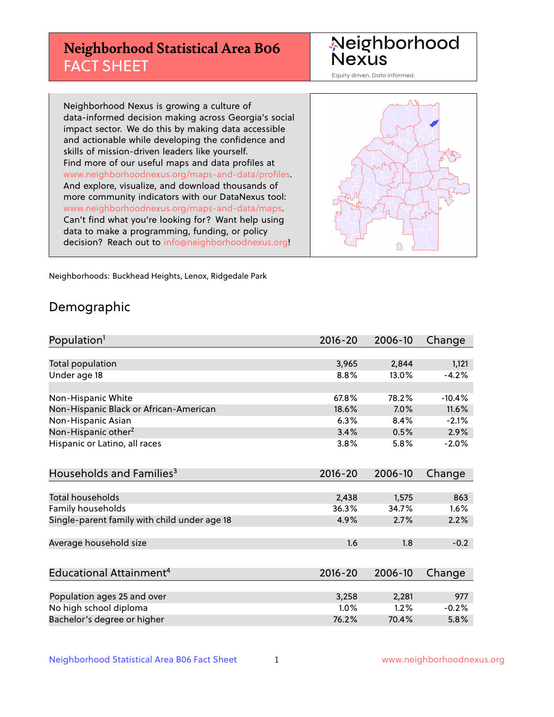## **Neighborhood Statistical Area B06** FACT SHEET

Neighborhood Nexus

Equity driven. Data informed.

Neighborhood Nexus is growing a culture of data-informed decision making across Georgia's social impact sector. We do this by making data accessible and actionable while developing the confidence and skills of mission-driven leaders like yourself. Find more of our useful maps and data profiles at www.neighborhoodnexus.org/maps-and-data/profiles. And explore, visualize, and download thousands of more community indicators with our DataNexus tool: www.neighborhoodnexus.org/maps-and-data/maps. Can't find what you're looking for? Want help using data to make a programming, funding, or policy decision? Reach out to [info@neighborhoodnexus.org!](mailto:info@neighborhoodnexus.org)



Neighborhoods: Buckhead Heights, Lenox, Ridgedale Park

### Demographic

| Population <sup>1</sup>                      | 2016-20     | 2006-10 | Change   |
|----------------------------------------------|-------------|---------|----------|
|                                              |             |         |          |
| Total population                             | 3,965       | 2,844   | 1,121    |
| Under age 18                                 | 8.8%        | 13.0%   | $-4.2%$  |
|                                              |             |         |          |
| Non-Hispanic White                           | 67.8%       | 78.2%   | $-10.4%$ |
| Non-Hispanic Black or African-American       | 18.6%       | 7.0%    | 11.6%    |
| Non-Hispanic Asian                           | 6.3%        | 8.4%    | $-2.1%$  |
| Non-Hispanic other <sup>2</sup>              | 3.4%        | 0.5%    | 2.9%     |
| Hispanic or Latino, all races                | 3.8%        | 5.8%    | $-2.0%$  |
|                                              |             |         |          |
| Households and Families <sup>3</sup>         | $2016 - 20$ | 2006-10 | Change   |
|                                              |             |         |          |
| <b>Total households</b>                      | 2,438       | 1,575   | 863      |
| Family households                            | 36.3%       | 34.7%   | 1.6%     |
| Single-parent family with child under age 18 | 4.9%        | 2.7%    | 2.2%     |
|                                              |             |         |          |
| Average household size                       | 1.6         | 1.8     | $-0.2$   |
|                                              |             |         |          |
| Educational Attainment <sup>4</sup>          | $2016 - 20$ | 2006-10 | Change   |
|                                              |             |         |          |
| Population ages 25 and over                  | 3,258       | 2,281   | 977      |
| No high school diploma                       | 1.0%        | 1.2%    | $-0.2%$  |
| Bachelor's degree or higher                  | 76.2%       | 70.4%   | 5.8%     |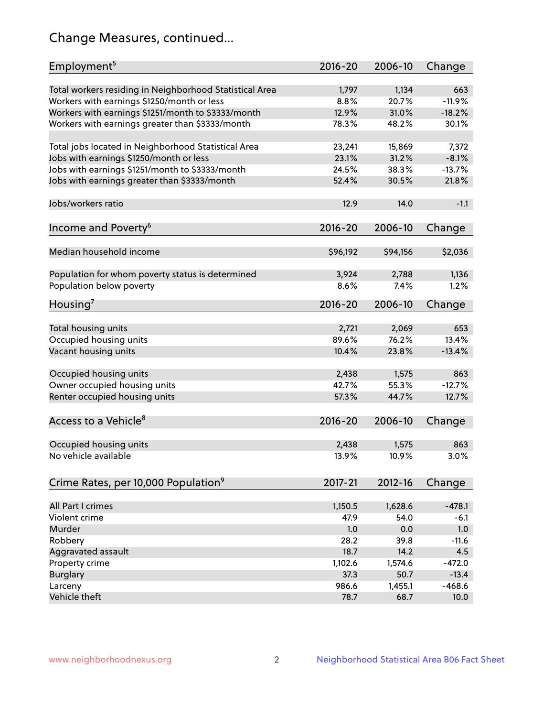## Change Measures, continued...

| Employment <sup>5</sup>                                 | $2016 - 20$   | 2006-10        | Change        |
|---------------------------------------------------------|---------------|----------------|---------------|
|                                                         |               |                |               |
| Total workers residing in Neighborhood Statistical Area | 1,797         | 1,134          | 663           |
| Workers with earnings \$1250/month or less              | 8.8%          | 20.7%          | $-11.9%$      |
| Workers with earnings \$1251/month to \$3333/month      | 12.9%         | 31.0%          | $-18.2%$      |
| Workers with earnings greater than \$3333/month         | 78.3%         | 48.2%          | 30.1%         |
| Total jobs located in Neighborhood Statistical Area     | 23,241        | 15,869         | 7,372         |
| Jobs with earnings \$1250/month or less                 | 23.1%         | 31.2%          | $-8.1%$       |
| Jobs with earnings \$1251/month to \$3333/month         | 24.5%         | 38.3%          | $-13.7%$      |
| Jobs with earnings greater than \$3333/month            | 52.4%         | 30.5%          | 21.8%         |
|                                                         |               |                |               |
| Jobs/workers ratio                                      | 12.9          | 14.0           | $-1.1$        |
|                                                         |               |                |               |
| Income and Poverty <sup>6</sup>                         | 2016-20       | 2006-10        | Change        |
|                                                         |               |                |               |
| Median household income                                 | \$96,192      | \$94,156       | \$2,036       |
|                                                         |               |                |               |
| Population for whom poverty status is determined        | 3,924<br>8.6% | 2,788<br>7.4%  | 1,136<br>1.2% |
| Population below poverty                                |               |                |               |
| Housing'                                                | 2016-20       | 2006-10        | Change        |
|                                                         |               |                |               |
| Total housing units                                     | 2,721         | 2,069          | 653           |
| Occupied housing units                                  | 89.6%         | 76.2%          | 13.4%         |
| Vacant housing units                                    | 10.4%         | 23.8%          | $-13.4%$      |
| Occupied housing units                                  |               |                | 863           |
|                                                         | 2,438         | 1,575<br>55.3% |               |
| Owner occupied housing units                            | 42.7%         |                | $-12.7%$      |
| Renter occupied housing units                           | 57.3%         | 44.7%          | 12.7%         |
| Access to a Vehicle <sup>8</sup>                        | $2016 - 20$   | 2006-10        |               |
|                                                         |               |                | Change        |
| Occupied housing units                                  | 2,438         | 1,575          | 863           |
| No vehicle available                                    | 13.9%         | 10.9%          | 3.0%          |
|                                                         |               |                |               |
| Crime Rates, per 10,000 Population <sup>9</sup>         | 2017-21       | $2012 - 16$    | Change        |
|                                                         |               |                |               |
| All Part I crimes                                       | 1,150.5       | 1,628.6        | $-478.1$      |
| Violent crime                                           | 47.9          | 54.0           | $-6.1$        |
| Murder                                                  | 1.0           | 0.0            | 1.0           |
| Robbery                                                 | 28.2          | 39.8           | $-11.6$       |
| Aggravated assault                                      | 18.7          | 14.2           | 4.5           |
| Property crime                                          | 1,102.6       | 1,574.6        | $-472.0$      |
| <b>Burglary</b>                                         | 37.3          | 50.7           | $-13.4$       |
| Larceny                                                 | 986.6         | 1,455.1        | $-468.6$      |
| Vehicle theft                                           | 78.7          | 68.7           | 10.0          |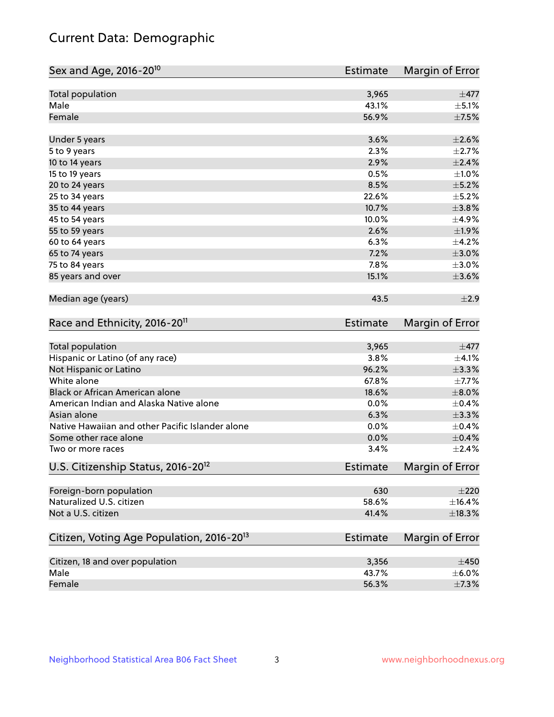## Current Data: Demographic

| Sex and Age, 2016-20 <sup>10</sup>                    | <b>Estimate</b> | Margin of Error |
|-------------------------------------------------------|-----------------|-----------------|
| Total population                                      | 3,965           | $\pm$ 477       |
| Male                                                  | 43.1%           | $\pm$ 5.1%      |
| Female                                                | 56.9%           | $\pm$ 7.5%      |
| Under 5 years                                         | 3.6%            | $\pm 2.6\%$     |
| 5 to 9 years                                          | 2.3%            | $\pm 2.7\%$     |
| 10 to 14 years                                        | 2.9%            | $\pm 2.4\%$     |
| 15 to 19 years                                        | 0.5%            | $\pm 1.0\%$     |
| 20 to 24 years                                        | 8.5%            | $\pm$ 5.2%      |
| 25 to 34 years                                        | 22.6%           | $\pm$ 5.2%      |
| 35 to 44 years                                        | 10.7%           | $\pm$ 3.8%      |
| 45 to 54 years                                        | 10.0%           | $\pm$ 4.9%      |
| 55 to 59 years                                        | 2.6%            | ±1.9%           |
| 60 to 64 years                                        | 6.3%            | $\pm$ 4.2%      |
| 65 to 74 years                                        | 7.2%            | $\pm 3.0\%$     |
| 75 to 84 years                                        | 7.8%            | $\pm 3.0\%$     |
| 85 years and over                                     | 15.1%           | $\pm 3.6\%$     |
| Median age (years)                                    | 43.5            | ±2.9            |
| Race and Ethnicity, 2016-20 <sup>11</sup>             | <b>Estimate</b> | Margin of Error |
| <b>Total population</b>                               | 3,965           | $\pm$ 477       |
| Hispanic or Latino (of any race)                      | 3.8%            | $\pm$ 4.1%      |
| Not Hispanic or Latino                                | 96.2%           | ±3.3%           |
| White alone                                           | 67.8%           | $\pm$ 7.7%      |
| Black or African American alone                       | 18.6%           | $\pm 8.0\%$     |
| American Indian and Alaska Native alone               | 0.0%            | $\pm$ 0.4%      |
| Asian alone                                           | 6.3%            | $\pm$ 3.3%      |
| Native Hawaiian and other Pacific Islander alone      | 0.0%            | $\pm$ 0.4%      |
| Some other race alone                                 | 0.0%            | $\pm$ 0.4%      |
| Two or more races                                     | 3.4%            | $\pm 2.4\%$     |
| U.S. Citizenship Status, 2016-20 <sup>12</sup>        | <b>Estimate</b> | Margin of Error |
| Foreign-born population                               | 630             | $\pm 220$       |
| Naturalized U.S. citizen                              | 58.6%           | $\pm$ 16.4%     |
| Not a U.S. citizen                                    | 41.4%           | ±18.3%          |
| Citizen, Voting Age Population, 2016-20 <sup>13</sup> | <b>Estimate</b> | Margin of Error |
| Citizen, 18 and over population                       | 3,356           | $\pm 450$       |
| Male                                                  | 43.7%           | $\pm$ 6.0%      |
| Female                                                | 56.3%           | $\pm$ 7.3%      |
|                                                       |                 |                 |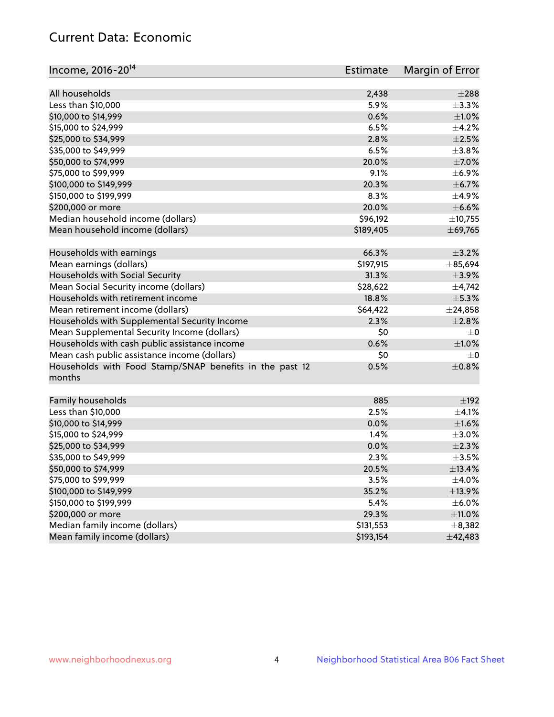## Current Data: Economic

| Income, 2016-20 <sup>14</sup>                                     | <b>Estimate</b> | Margin of Error |
|-------------------------------------------------------------------|-----------------|-----------------|
| All households                                                    |                 | $\pm 288$       |
|                                                                   | 2,438<br>5.9%   |                 |
| Less than \$10,000                                                |                 | $\pm$ 3.3%      |
| \$10,000 to \$14,999                                              | 0.6%            | $\pm1.0\%$      |
| \$15,000 to \$24,999                                              | 6.5%            | $\pm$ 4.2%      |
| \$25,000 to \$34,999                                              | 2.8%            | $\pm 2.5\%$     |
| \$35,000 to \$49,999                                              | 6.5%            | ±3.8%           |
| \$50,000 to \$74,999                                              | 20.0%           | $\pm$ 7.0%      |
| \$75,000 to \$99,999                                              | 9.1%            | $\pm$ 6.9%      |
| \$100,000 to \$149,999                                            | 20.3%           | $\pm$ 6.7%      |
| \$150,000 to \$199,999                                            | 8.3%            | $\pm$ 4.9%      |
| \$200,000 or more                                                 | 20.0%           | $\pm$ 6.6%      |
| Median household income (dollars)                                 | \$96,192        | ±10,755         |
| Mean household income (dollars)                                   | \$189,405       | ±69,765         |
| Households with earnings                                          | 66.3%           | $\pm$ 3.2%      |
| Mean earnings (dollars)                                           | \$197,915       | $\pm 85,694$    |
| Households with Social Security                                   | 31.3%           | $\pm$ 3.9%      |
| Mean Social Security income (dollars)                             | \$28,622        | $\pm$ 4,742     |
| Households with retirement income                                 | 18.8%           | $\pm$ 5.3%      |
| Mean retirement income (dollars)                                  | \$64,422        | $\pm$ 24,858    |
| Households with Supplemental Security Income                      | 2.3%            | ±2.8%           |
| Mean Supplemental Security Income (dollars)                       | \$0             | $\pm$ 0         |
| Households with cash public assistance income                     | 0.6%            | $\pm 1.0\%$     |
| Mean cash public assistance income (dollars)                      | \$0             | $\pm 0$         |
| Households with Food Stamp/SNAP benefits in the past 12<br>months | 0.5%            | $\pm$ 0.8%      |
|                                                                   |                 |                 |
| Family households                                                 | 885             | $\pm$ 192       |
| Less than \$10,000                                                | 2.5%            | $\pm$ 4.1%      |
| \$10,000 to \$14,999                                              | 0.0%            | $\pm 1.6\%$     |
| \$15,000 to \$24,999                                              | 1.4%            | $\pm 3.0\%$     |
| \$25,000 to \$34,999                                              | 0.0%            | $\pm 2.3\%$     |
| \$35,000 to \$49,999                                              | 2.3%            | $\pm$ 3.5%      |
| \$50,000 to \$74,999                                              | 20.5%           | ±13.4%          |
| \$75,000 to \$99,999                                              | 3.5%            | $\pm$ 4.0%      |
| \$100,000 to \$149,999                                            | 35.2%           | ±13.9%          |
| \$150,000 to \$199,999                                            | 5.4%            | $\pm$ 6.0%      |
| \$200,000 or more                                                 | 29.3%           | $\pm$ 11.0%     |
| Median family income (dollars)                                    | \$131,553       | $\pm$ 8,382     |
| Mean family income (dollars)                                      | \$193,154       | ±42,483         |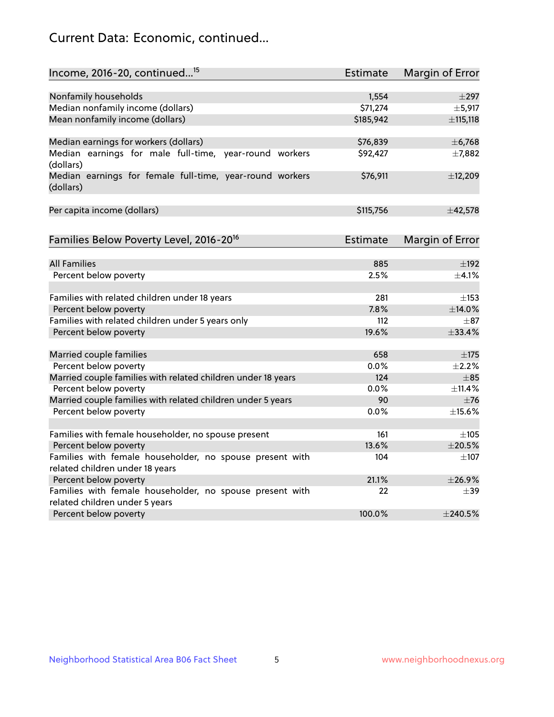## Current Data: Economic, continued...

| Income, 2016-20, continued <sup>15</sup>                              | <b>Estimate</b> | Margin of Error        |
|-----------------------------------------------------------------------|-----------------|------------------------|
|                                                                       |                 |                        |
| Nonfamily households                                                  | 1,554           | $\pm$ 297              |
| Median nonfamily income (dollars)                                     | \$71,274        | ±5,917                 |
| Mean nonfamily income (dollars)                                       | \$185,942       | ±115,118               |
| Median earnings for workers (dollars)                                 | \$76,839        | ± 6,768                |
| Median earnings for male full-time, year-round workers<br>(dollars)   | \$92,427        | ±7,882                 |
| Median earnings for female full-time, year-round workers<br>(dollars) | \$76,911        | ±12,209                |
| Per capita income (dollars)                                           | \$115,756       | ±42,578                |
| Families Below Poverty Level, 2016-20 <sup>16</sup>                   | <b>Estimate</b> | <b>Margin of Error</b> |
|                                                                       |                 |                        |
| <b>All Families</b>                                                   | 885             | $\pm$ 192              |
| Percent below poverty                                                 | 2.5%            | $\pm$ 4.1%             |
| Families with related children under 18 years                         | 281             | $\pm$ 153              |
| Percent below poverty                                                 | 7.8%            | ±14.0%                 |
| Families with related children under 5 years only                     | 112             | $\pm$ 87               |
| Percent below poverty                                                 | 19.6%           | ±33.4%                 |
| Married couple families                                               | 658             | ±175                   |
| Percent below poverty                                                 | 0.0%            | $\pm 2.2\%$            |
| Married couple families with related children under 18 years          | 124             | $\pm$ 85               |
| Percent below poverty                                                 | $0.0\%$         | ±11.4%                 |
| Married couple families with related children under 5 years           | 90              | $\pm$ 76               |
| Percent below poverty                                                 | $0.0\%$         | ±15.6%                 |
| Families with female householder, no spouse present                   | 161             | $\pm 105$              |
| Percent below poverty                                                 | 13.6%           | ±20.5%                 |
| Families with female householder, no spouse present with              | 104             | $\pm$ 107              |
| related children under 18 years                                       |                 |                        |
| Percent below poverty                                                 | 21.1%           | ±26.9%                 |
| Families with female householder, no spouse present with              | 22              | $\pm$ 39               |
| related children under 5 years                                        |                 |                        |
| Percent below poverty                                                 | 100.0%          | $±$ 240.5%             |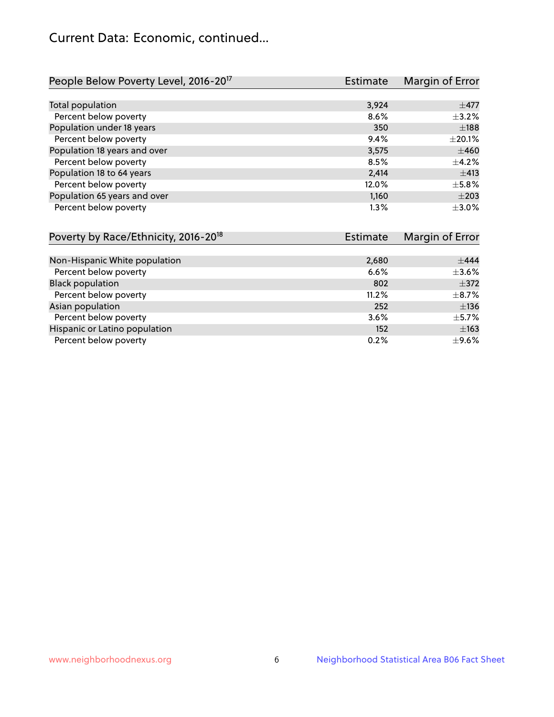## Current Data: Economic, continued...

| People Below Poverty Level, 2016-20 <sup>17</sup> | <b>Estimate</b> | Margin of Error |
|---------------------------------------------------|-----------------|-----------------|
|                                                   |                 |                 |
| Total population                                  | 3,924           | $\pm$ 477       |
| Percent below poverty                             | 8.6%            | $\pm$ 3.2%      |
| Population under 18 years                         | 350             | $\pm$ 188       |
| Percent below poverty                             | 9.4%            | $\pm 20.1\%$    |
| Population 18 years and over                      | 3,575           | $\pm 460$       |
| Percent below poverty                             | 8.5%            | $\pm$ 4.2%      |
| Population 18 to 64 years                         | 2,414           | ±413            |
| Percent below poverty                             | 12.0%           | $\pm$ 5.8%      |
| Population 65 years and over                      | 1,160           | $\pm 203$       |
| Percent below poverty                             | 1.3%            | $\pm 3.0\%$     |

| Poverty by Race/Ethnicity, 2016-20 <sup>18</sup> | Estimate | Margin of Error |
|--------------------------------------------------|----------|-----------------|
|                                                  |          |                 |
| Non-Hispanic White population                    | 2,680    | ±444            |
| Percent below poverty                            | 6.6%     | $\pm 3.6\%$     |
| <b>Black population</b>                          | 802      | $\pm$ 372       |
| Percent below poverty                            | 11.2%    | $\pm$ 8.7%      |
| Asian population                                 | 252      | $\pm$ 136       |
| Percent below poverty                            | 3.6%     | $\pm$ 5.7%      |
| Hispanic or Latino population                    | 152      | $\pm 163$       |
| Percent below poverty                            | 0.2%     | $\pm$ 9.6%      |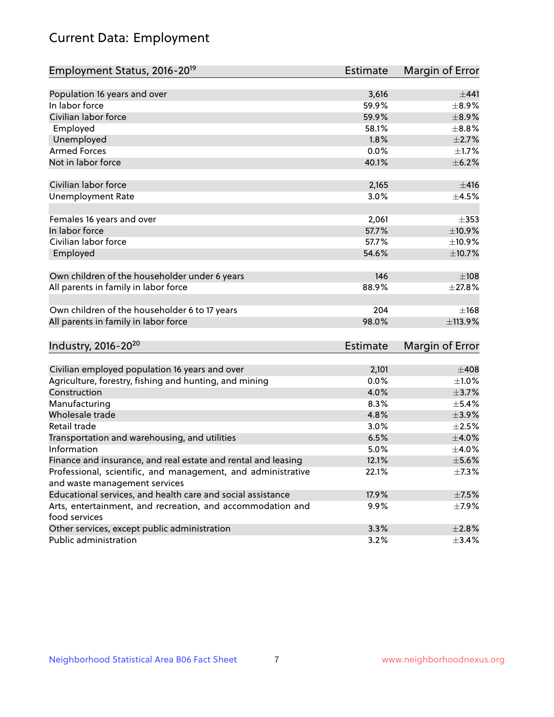# Current Data: Employment

| Employment Status, 2016-20 <sup>19</sup>                      | <b>Estimate</b> | Margin of Error |
|---------------------------------------------------------------|-----------------|-----------------|
| Population 16 years and over                                  | 3,616           | ±441            |
| In labor force                                                | 59.9%           | $\pm$ 8.9%      |
| Civilian labor force                                          | 59.9%           | $\pm$ 8.9%      |
| Employed                                                      | 58.1%           | $\pm$ 8.8%      |
| Unemployed                                                    | 1.8%            | $\pm 2.7\%$     |
| <b>Armed Forces</b>                                           | 0.0%            | $\pm1.7\%$      |
| Not in labor force                                            | 40.1%           | $\pm$ 6.2%      |
|                                                               |                 |                 |
| Civilian labor force                                          | 2,165           | $\pm$ 416       |
| <b>Unemployment Rate</b>                                      | 3.0%            | $\pm$ 4.5%      |
|                                                               |                 |                 |
| Females 16 years and over                                     | 2,061           | $\pm$ 353       |
| In labor force                                                | 57.7%           | $\pm$ 10.9%     |
| Civilian labor force                                          | 57.7%           | $\pm$ 10.9%     |
| Employed                                                      | 54.6%           | $\pm$ 10.7%     |
|                                                               |                 |                 |
| Own children of the householder under 6 years                 | 146             | $\pm 108$       |
| All parents in family in labor force                          | 88.9%           | ±27.8%          |
|                                                               |                 |                 |
| Own children of the householder 6 to 17 years                 | 204             | ±168            |
| All parents in family in labor force                          | 98.0%           | ±113.9%         |
|                                                               |                 |                 |
| Industry, 2016-20 <sup>20</sup>                               | <b>Estimate</b> | Margin of Error |
|                                                               |                 |                 |
| Civilian employed population 16 years and over                | 2,101           | $\pm 408$       |
| Agriculture, forestry, fishing and hunting, and mining        | 0.0%            | $\pm 1.0\%$     |
| Construction                                                  | 4.0%            | $\pm$ 3.7%      |
| Manufacturing                                                 | 8.3%            | $\pm$ 5.4%      |
| Wholesale trade                                               | 4.8%            | $\pm$ 3.9%      |
| Retail trade                                                  | 3.0%            | $\pm 2.5\%$     |
| Transportation and warehousing, and utilities                 | 6.5%            | $\pm 4.0\%$     |
| Information                                                   | 5.0%            | $\pm$ 4.0%      |
| Finance and insurance, and real estate and rental and leasing | 12.1%           | $\pm$ 5.6%      |
| Professional, scientific, and management, and administrative  | 22.1%           | $\pm$ 7.3%      |
| and waste management services                                 |                 |                 |
| Educational services, and health care and social assistance   | 17.9%           | $\pm$ 7.5%      |
| Arts, entertainment, and recreation, and accommodation and    | 9.9%            | $\pm$ 7.9%      |
| food services                                                 |                 |                 |
| Other services, except public administration                  | 3.3%            | $\pm 2.8\%$     |
| Public administration                                         | 3.2%            | $\pm$ 3.4%      |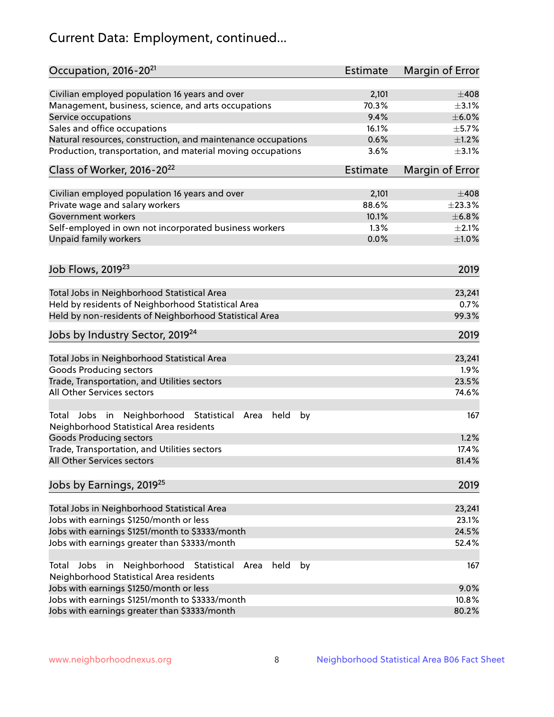# Current Data: Employment, continued...

| Civilian employed population 16 years and over<br>2,101                                                          | $\pm 408$   |
|------------------------------------------------------------------------------------------------------------------|-------------|
| 70.3%<br>Management, business, science, and arts occupations                                                     | $\pm$ 3.1%  |
| 9.4%<br>Service occupations                                                                                      | $\pm$ 6.0%  |
| Sales and office occupations<br>16.1%                                                                            | $\pm$ 5.7%  |
| 0.6%<br>Natural resources, construction, and maintenance occupations                                             | $\pm 1.2\%$ |
| Production, transportation, and material moving occupations<br>3.6%                                              | $\pm$ 3.1%  |
| Class of Worker, 2016-20 <sup>22</sup><br>Estimate<br>Margin of Error                                            |             |
| Civilian employed population 16 years and over<br>2,101                                                          | $\pm 408$   |
| Private wage and salary workers<br>88.6%                                                                         | ±23.3%      |
| Government workers<br>10.1%                                                                                      | ±6.8%       |
| Self-employed in own not incorporated business workers<br>1.3%                                                   | $\pm 2.1\%$ |
| Unpaid family workers<br>0.0%                                                                                    | $\pm1.0\%$  |
|                                                                                                                  |             |
| Job Flows, 2019 <sup>23</sup>                                                                                    | 2019        |
| Total Jobs in Neighborhood Statistical Area                                                                      | 23,241      |
| Held by residents of Neighborhood Statistical Area                                                               | 0.7%        |
| Held by non-residents of Neighborhood Statistical Area                                                           | 99.3%       |
| Jobs by Industry Sector, 2019 <sup>24</sup>                                                                      | 2019        |
| Total Jobs in Neighborhood Statistical Area                                                                      | 23,241      |
| <b>Goods Producing sectors</b>                                                                                   | 1.9%        |
| Trade, Transportation, and Utilities sectors                                                                     | 23.5%       |
| All Other Services sectors                                                                                       | 74.6%       |
| Total Jobs in Neighborhood Statistical<br>held<br>by<br>Area<br>Neighborhood Statistical Area residents          | 167         |
| <b>Goods Producing sectors</b>                                                                                   | 1.2%        |
| Trade, Transportation, and Utilities sectors                                                                     | 17.4%       |
| All Other Services sectors                                                                                       | 81.4%       |
| Jobs by Earnings, 2019 <sup>25</sup>                                                                             | 2019        |
| Total Jobs in Neighborhood Statistical Area                                                                      | 23,241      |
| Jobs with earnings \$1250/month or less                                                                          | 23.1%       |
| Jobs with earnings \$1251/month to \$3333/month                                                                  | 24.5%       |
| Jobs with earnings greater than \$3333/month                                                                     | 52.4%       |
| Neighborhood Statistical<br>Jobs<br>in<br>held<br>by<br>Total<br>Area<br>Neighborhood Statistical Area residents | 167         |
| Jobs with earnings \$1250/month or less                                                                          | 9.0%        |
| Jobs with earnings \$1251/month to \$3333/month                                                                  | 10.8%       |
| Jobs with earnings greater than \$3333/month                                                                     | 80.2%       |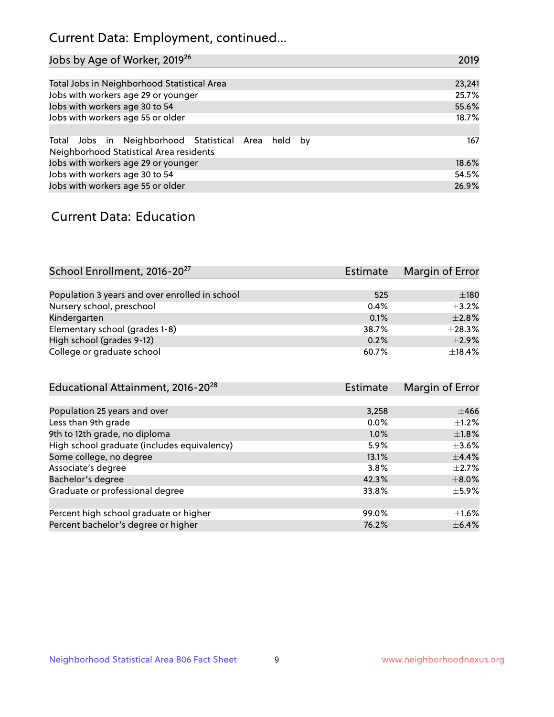## Current Data: Employment, continued...

| Jobs by Age of Worker, 2019 <sup>26</sup>                                                      | 2019   |
|------------------------------------------------------------------------------------------------|--------|
|                                                                                                |        |
| Total Jobs in Neighborhood Statistical Area                                                    | 23,241 |
| Jobs with workers age 29 or younger                                                            | 25.7%  |
| Jobs with workers age 30 to 54                                                                 | 55.6%  |
| Jobs with workers age 55 or older                                                              | 18.7%  |
|                                                                                                |        |
| Total Jobs in Neighborhood Statistical Area held by<br>Neighborhood Statistical Area residents | 167    |
| Jobs with workers age 29 or younger                                                            | 18.6%  |
| Jobs with workers age 30 to 54                                                                 | 54.5%  |
| Jobs with workers age 55 or older                                                              | 26.9%  |

### Current Data: Education

| School Enrollment, 2016-20 <sup>27</sup>       | <b>Estimate</b> | Margin of Error |
|------------------------------------------------|-----------------|-----------------|
|                                                |                 |                 |
| Population 3 years and over enrolled in school | 525             | ±180            |
| Nursery school, preschool                      | 0.4%            | $+3.2%$         |
| Kindergarten                                   | 0.1%            | $\pm 2.8\%$     |
| Elementary school (grades 1-8)                 | 38.7%           | ±28.3%          |
| High school (grades 9-12)                      | 0.2%            | $\pm 2.9\%$     |
| College or graduate school                     | 60.7%           | ±18.4%          |

| Educational Attainment, 2016-20 <sup>28</sup> | <b>Estimate</b> | Margin of Error |
|-----------------------------------------------|-----------------|-----------------|
|                                               |                 |                 |
| Population 25 years and over                  | 3,258           | $\pm 466$       |
| Less than 9th grade                           | $0.0\%$         | $+1.2%$         |
| 9th to 12th grade, no diploma                 | $1.0\%$         | $\pm1.8\%$      |
| High school graduate (includes equivalency)   | 5.9%            | $\pm 3.6\%$     |
| Some college, no degree                       | 13.1%           | $\pm$ 4.4%      |
| Associate's degree                            | 3.8%            | $\pm 2.7\%$     |
| Bachelor's degree                             | 42.3%           | $\pm 8.0\%$     |
| Graduate or professional degree               | 33.8%           | $\pm$ 5.9%      |
|                                               |                 |                 |
| Percent high school graduate or higher        | 99.0%           | $\pm 1.6\%$     |
| Percent bachelor's degree or higher           | 76.2%           | $\pm$ 6.4%      |
|                                               |                 |                 |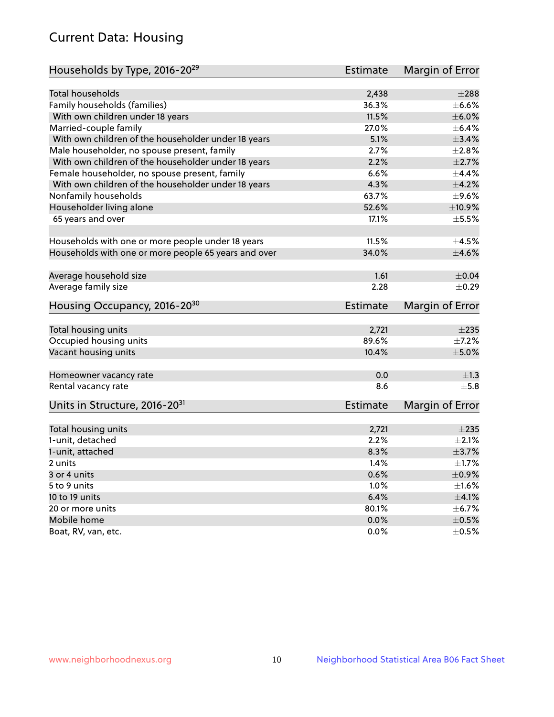## Current Data: Housing

| Households by Type, 2016-20 <sup>29</sup>            | <b>Estimate</b> | Margin of Error |
|------------------------------------------------------|-----------------|-----------------|
|                                                      |                 |                 |
| <b>Total households</b>                              | 2,438           | $\pm 288$       |
| Family households (families)                         | 36.3%           | $\pm$ 6.6%      |
| With own children under 18 years                     | 11.5%           | $\pm$ 6.0%      |
| Married-couple family                                | 27.0%           | $\pm$ 6.4%      |
| With own children of the householder under 18 years  | 5.1%            | $\pm$ 3.4%      |
| Male householder, no spouse present, family          | 2.7%            | $\pm 2.8\%$     |
| With own children of the householder under 18 years  | 2.2%            | $\pm 2.7\%$     |
| Female householder, no spouse present, family        | 6.6%            | $\pm$ 4.4%      |
| With own children of the householder under 18 years  | 4.3%            | $\pm 4.2\%$     |
| Nonfamily households                                 | 63.7%           | $\pm$ 9.6%      |
| Householder living alone                             | 52.6%           | ±10.9%          |
| 65 years and over                                    | 17.1%           | $\pm$ 5.5%      |
|                                                      |                 |                 |
| Households with one or more people under 18 years    | 11.5%           | $\pm$ 4.5%      |
| Households with one or more people 65 years and over | 34.0%           | $\pm 4.6\%$     |
|                                                      |                 |                 |
| Average household size                               | 1.61            | $\pm 0.04$      |
| Average family size                                  | 2.28            | $\pm$ 0.29      |
| Housing Occupancy, 2016-20 <sup>30</sup>             | <b>Estimate</b> | Margin of Error |
| Total housing units                                  | 2,721           | $\pm 235$       |
| Occupied housing units                               | 89.6%           | $\pm$ 7.2%      |
| Vacant housing units                                 | 10.4%           | $\pm$ 5.0%      |
|                                                      |                 |                 |
| Homeowner vacancy rate                               | 0.0             | ±1.3            |
| Rental vacancy rate                                  | 8.6             | $\pm$ 5.8       |
| Units in Structure, 2016-20 <sup>31</sup>            | <b>Estimate</b> | Margin of Error |
|                                                      |                 |                 |
| Total housing units                                  | 2,721           | $\pm 235$       |
| 1-unit, detached                                     | 2.2%            | $\pm 2.1\%$     |
| 1-unit, attached                                     | 8.3%            | $\pm$ 3.7%      |
| 2 units                                              | 1.4%            | $\pm$ 1.7%      |
| 3 or 4 units                                         | 0.6%            | $\pm$ 0.9%      |
| 5 to 9 units                                         | 1.0%            | $\pm 1.6\%$     |
| 10 to 19 units                                       | 6.4%            | $\pm 4.1\%$     |
| 20 or more units                                     | 80.1%           | $\pm$ 6.7%      |
| Mobile home                                          | 0.0%            | $\pm$ 0.5%      |
| Boat, RV, van, etc.                                  | $0.0\%$         | $\pm$ 0.5%      |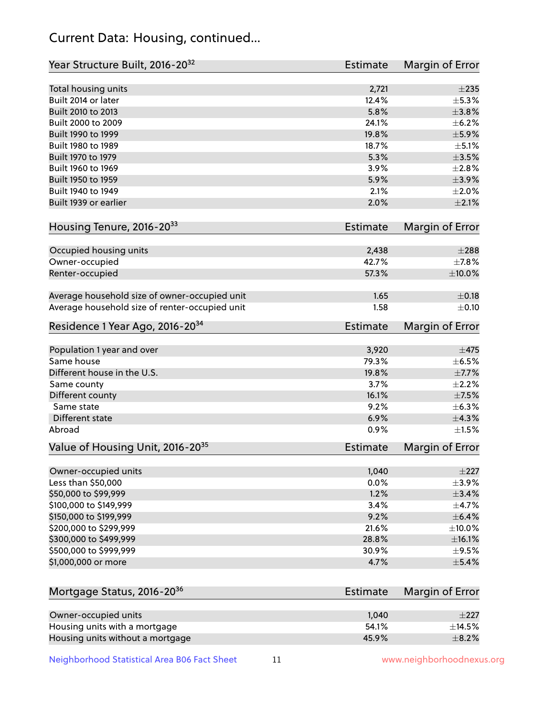## Current Data: Housing, continued...

| Year Structure Built, 2016-20 <sup>32</sup>    | <b>Estimate</b> | Margin of Error |
|------------------------------------------------|-----------------|-----------------|
| Total housing units                            | 2,721           | $\pm 235$       |
| Built 2014 or later                            | 12.4%           | $\pm$ 5.3%      |
| Built 2010 to 2013                             | 5.8%            | ±3.8%           |
| Built 2000 to 2009                             | 24.1%           | $\pm$ 6.2%      |
| Built 1990 to 1999                             | 19.8%           | $\pm$ 5.9%      |
| Built 1980 to 1989                             | 18.7%           | $\pm$ 5.1%      |
| Built 1970 to 1979                             | 5.3%            | $\pm$ 3.5%      |
| Built 1960 to 1969                             | 3.9%            | ±2.8%           |
| Built 1950 to 1959                             | 5.9%            | $\pm$ 3.9%      |
| Built 1940 to 1949                             | 2.1%            | $\pm 2.0\%$     |
| Built 1939 or earlier                          | 2.0%            | $\pm 2.1\%$     |
| Housing Tenure, 2016-2033                      | <b>Estimate</b> | Margin of Error |
|                                                |                 |                 |
| Occupied housing units                         | 2,438           | $\pm 288$       |
| Owner-occupied                                 | 42.7%<br>57.3%  | $\pm$ 7.8%      |
| Renter-occupied                                |                 | $\pm 10.0\%$    |
| Average household size of owner-occupied unit  | 1.65            | $\pm$ 0.18      |
| Average household size of renter-occupied unit | 1.58            | $\pm$ 0.10      |
| Residence 1 Year Ago, 2016-20 <sup>34</sup>    | <b>Estimate</b> | Margin of Error |
| Population 1 year and over                     | 3,920           | $\pm$ 475       |
| Same house                                     | 79.3%           | $\pm$ 6.5%      |
| Different house in the U.S.                    | 19.8%           | $\pm$ 7.7%      |
| Same county                                    | 3.7%            | $\pm 2.2\%$     |
| Different county                               | 16.1%           | $\pm$ 7.5%      |
| Same state                                     | 9.2%            | ±6.3%           |
| Different state                                | 6.9%            | ±4.3%           |
| Abroad                                         | 0.9%            | $\pm 1.5\%$     |
| Value of Housing Unit, 2016-20 <sup>35</sup>   | <b>Estimate</b> | Margin of Error |
| Owner-occupied units                           | 1,040           | $\pm 227$       |
| Less than \$50,000                             | 0.0%            | $\pm$ 3.9%      |
| \$50,000 to \$99,999                           | 1.2%            | ±3.4%           |
| \$100,000 to \$149,999                         | 3.4%            | $\pm$ 4.7%      |
| \$150,000 to \$199,999                         | 9.2%            | $\pm$ 6.4%      |
| \$200,000 to \$299,999                         | 21.6%           | $\pm$ 10.0%     |
| \$300,000 to \$499,999                         | 28.8%           | $\pm$ 16.1%     |
| \$500,000 to \$999,999                         | 30.9%           | $\pm$ 9.5%      |
| \$1,000,000 or more                            | 4.7%            | $\pm$ 5.4%      |
|                                                |                 |                 |
| Mortgage Status, 2016-20 <sup>36</sup>         | <b>Estimate</b> | Margin of Error |
| Owner-occupied units                           | 1,040           | $\pm 227$       |
| Housing units with a mortgage                  | 54.1%           | $\pm$ 14.5%     |
| Housing units without a mortgage               | 45.9%           | $\pm$ 8.2%      |

Neighborhood Statistical Area B06 Fact Sheet 11 11 www.neighborhoodnexus.org

Housing units without a mortgage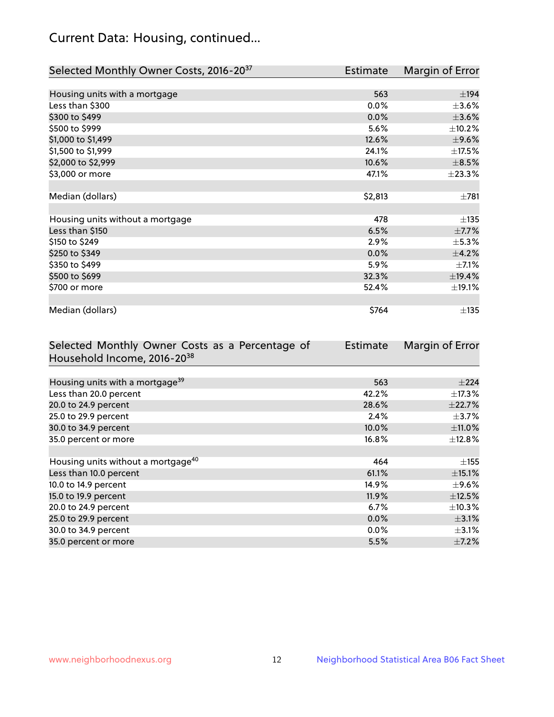## Current Data: Housing, continued...

| Selected Monthly Owner Costs, 2016-20 <sup>37</sup> | Estimate | Margin of Error |
|-----------------------------------------------------|----------|-----------------|
|                                                     |          |                 |
| Housing units with a mortgage                       | 563      | ±194            |
| Less than \$300                                     | 0.0%     | $\pm 3.6\%$     |
| \$300 to \$499                                      | 0.0%     | $\pm 3.6\%$     |
| \$500 to \$999                                      | 5.6%     | ±10.2%          |
| \$1,000 to \$1,499                                  | 12.6%    | $\pm$ 9.6%      |
| \$1,500 to \$1,999                                  | 24.1%    | $\pm$ 17.5%     |
| \$2,000 to \$2,999                                  | 10.6%    | $\pm$ 8.5%      |
| \$3,000 or more                                     | 47.1%    | ±23.3%          |
|                                                     |          |                 |
| Median (dollars)                                    | \$2,813  | $\pm 781$       |
|                                                     |          |                 |
| Housing units without a mortgage                    | 478      | ±135            |
| Less than \$150                                     | 6.5%     | $\pm$ 7.7%      |
| \$150 to \$249                                      | 2.9%     | $\pm$ 5.3%      |
| \$250 to \$349                                      | 0.0%     | ±4.2%           |
| \$350 to \$499                                      | 5.9%     | $\pm$ 7.1%      |
| \$500 to \$699                                      | 32.3%    | ±19.4%          |
| \$700 or more                                       | 52.4%    | ±19.1%          |
|                                                     |          |                 |
| Median (dollars)                                    | \$764    | ±135            |

| Selected Monthly Owner Costs as a Percentage of | <b>Estimate</b> | Margin of Error |
|-------------------------------------------------|-----------------|-----------------|
| Household Income, 2016-2038                     |                 |                 |
|                                                 |                 |                 |
| Housing units with a mortgage <sup>39</sup>     | 563             | $\pm 224$       |
| Less than 20.0 percent                          | 42.2%           | $\pm$ 17.3%     |
| 20.0 to 24.9 percent                            | 28.6%           | ±22.7%          |
| 25.0 to 29.9 percent                            | 2.4%            | $\pm$ 3.7%      |
| 30.0 to 34.9 percent                            | 10.0%           | $\pm$ 11.0%     |
| 35.0 percent or more                            | 16.8%           | $\pm$ 12.8%     |
|                                                 |                 |                 |
| Housing units without a mortgage <sup>40</sup>  | 464             | $\pm$ 155       |
| Less than 10.0 percent                          | 61.1%           | $\pm$ 15.1%     |
| 10.0 to 14.9 percent                            | 14.9%           | $\pm$ 9.6%      |
| 15.0 to 19.9 percent                            | 11.9%           | $\pm$ 12.5%     |
| 20.0 to 24.9 percent                            | 6.7%            | $\pm$ 10.3%     |
| 25.0 to 29.9 percent                            | 0.0%            | $\pm$ 3.1%      |
| 30.0 to 34.9 percent                            | $0.0\%$         | $\pm$ 3.1%      |
| 35.0 percent or more                            | 5.5%            | $\pm$ 7.2%      |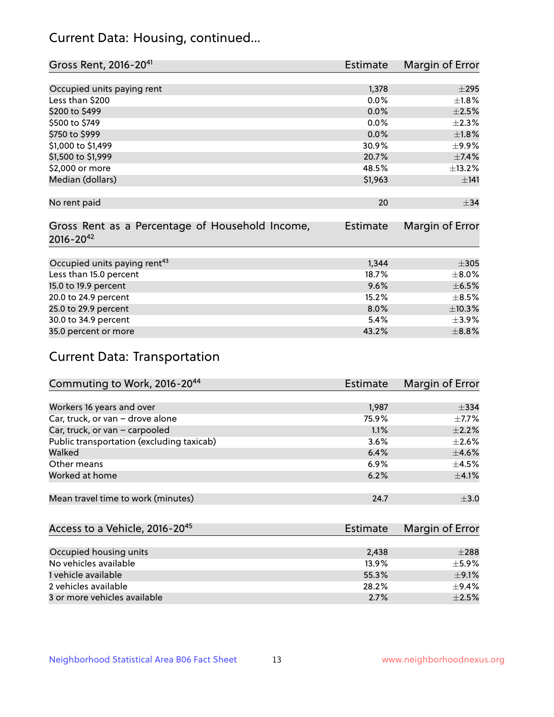## Current Data: Housing, continued...

| Gross Rent, 2016-20 <sup>41</sup>               | <b>Estimate</b> | Margin of Error |
|-------------------------------------------------|-----------------|-----------------|
|                                                 |                 |                 |
| Occupied units paying rent                      | 1,378           | $\pm 295$       |
| Less than \$200                                 | 0.0%            | $\pm1.8\%$      |
| \$200 to \$499                                  | 0.0%            | $\pm 2.5\%$     |
| \$500 to \$749                                  | 0.0%            | $\pm 2.3\%$     |
| \$750 to \$999                                  | 0.0%            | $\pm1.8\%$      |
| \$1,000 to \$1,499                              | 30.9%           | $\pm$ 9.9%      |
| \$1,500 to \$1,999                              | 20.7%           | ±7.4%           |
| \$2,000 or more                                 | 48.5%           | ±13.2%          |
| Median (dollars)                                | \$1,963         | ±141            |
|                                                 |                 |                 |
| No rent paid                                    | 20              | $\pm$ 34        |
|                                                 |                 |                 |
| Gross Rent as a Percentage of Household Income, | <b>Estimate</b> | Margin of Error |
| $2016 - 20^{42}$                                |                 |                 |
|                                                 |                 |                 |
| Occupied units paying rent <sup>43</sup>        | 1,344           | $\pm 305$       |
| Less than 15.0 percent                          | 18.7%           | $\pm$ 8.0%      |
| 15.0 to 19.9 percent                            | 9.6%            | $\pm$ 6.5%      |
| 20.0 to 24.9 percent                            | 15.2%           | $\pm$ 8.5%      |
| 25.0 to 29.9 percent                            | 8.0%            | ±10.3%          |
| 30.0 to 34.9 percent                            | 5.4%            | $\pm$ 3.9%      |
| 35.0 percent or more                            | 43.2%           | $\pm$ 8.8%      |

# Current Data: Transportation

| Commuting to Work, 2016-20 <sup>44</sup>  | <b>Estimate</b> | <b>Margin of Error</b> |
|-------------------------------------------|-----------------|------------------------|
|                                           |                 |                        |
| Workers 16 years and over                 | 1,987           | $\pm$ 334              |
| Car, truck, or van - drove alone          | 75.9%           | $\pm$ 7.7%             |
| Car, truck, or van - carpooled            | 1.1%            | $\pm 2.2\%$            |
| Public transportation (excluding taxicab) | $3.6\%$         | $\pm 2.6\%$            |
| Walked                                    | 6.4%            | $\pm$ 4.6%             |
| Other means                               | 6.9%            | $\pm$ 4.5%             |
| Worked at home                            | 6.2%            | $\pm$ 4.1%             |
|                                           |                 |                        |
| Mean travel time to work (minutes)        | 24.7            | $\pm$ 3.0              |

| Access to a Vehicle, 2016-20 <sup>45</sup> | Estimate | Margin of Error |
|--------------------------------------------|----------|-----------------|
|                                            |          |                 |
| Occupied housing units                     | 2.438    | $\pm 288$       |
| No vehicles available                      | 13.9%    | $+5.9%$         |
| 1 vehicle available                        | 55.3%    | $\pm$ 9.1%      |
| 2 vehicles available                       | 28.2%    | $+9.4%$         |
| 3 or more vehicles available               | 2.7%     | $+2.5%$         |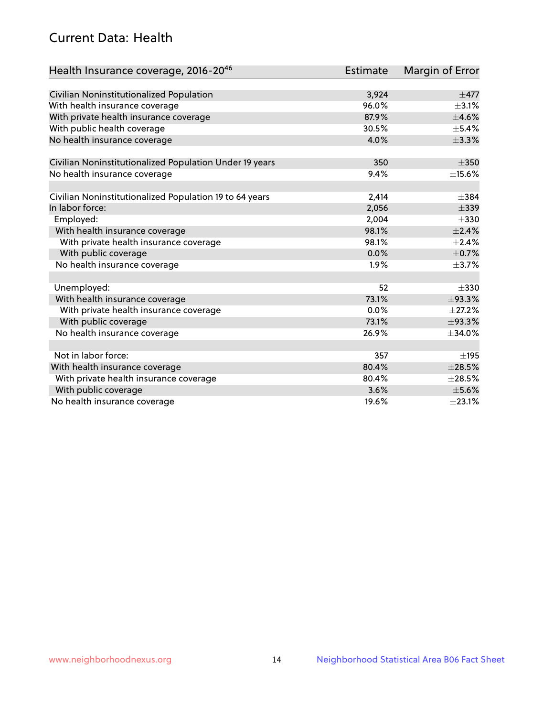## Current Data: Health

| Health Insurance coverage, 2016-2046                    | <b>Estimate</b> | Margin of Error |
|---------------------------------------------------------|-----------------|-----------------|
|                                                         |                 |                 |
| Civilian Noninstitutionalized Population                | 3,924           | $\pm$ 477       |
| With health insurance coverage                          | 96.0%           | $\pm$ 3.1%      |
| With private health insurance coverage                  | 87.9%           | $\pm$ 4.6%      |
| With public health coverage                             | 30.5%           | $\pm$ 5.4%      |
| No health insurance coverage                            | 4.0%            | ±3.3%           |
| Civilian Noninstitutionalized Population Under 19 years | 350             | $\pm 350$       |
| No health insurance coverage                            | 9.4%            | $\pm$ 15.6%     |
|                                                         |                 |                 |
| Civilian Noninstitutionalized Population 19 to 64 years | 2,414           | $\pm$ 384       |
| In labor force:                                         | 2,056           | $\pm$ 339       |
| Employed:                                               | 2,004           | $\pm 330$       |
| With health insurance coverage                          | 98.1%           | $\pm 2.4\%$     |
| With private health insurance coverage                  | 98.1%           | $\pm 2.4\%$     |
| With public coverage                                    | 0.0%            | $\pm$ 0.7%      |
| No health insurance coverage                            | 1.9%            | $\pm$ 3.7%      |
|                                                         |                 |                 |
| Unemployed:                                             | 52              | $\pm 330$       |
| With health insurance coverage                          | 73.1%           | ±93.3%          |
| With private health insurance coverage                  | 0.0%            | $\pm 27.2\%$    |
| With public coverage                                    | 73.1%           | ±93.3%          |
| No health insurance coverage                            | 26.9%           | ±34.0%          |
|                                                         |                 |                 |
| Not in labor force:                                     | 357             | ±195            |
| With health insurance coverage                          | 80.4%           | $\pm 28.5\%$    |
| With private health insurance coverage                  | 80.4%           | $\pm 28.5\%$    |
| With public coverage                                    | 3.6%            | $\pm$ 5.6%      |
| No health insurance coverage                            | 19.6%           | ±23.1%          |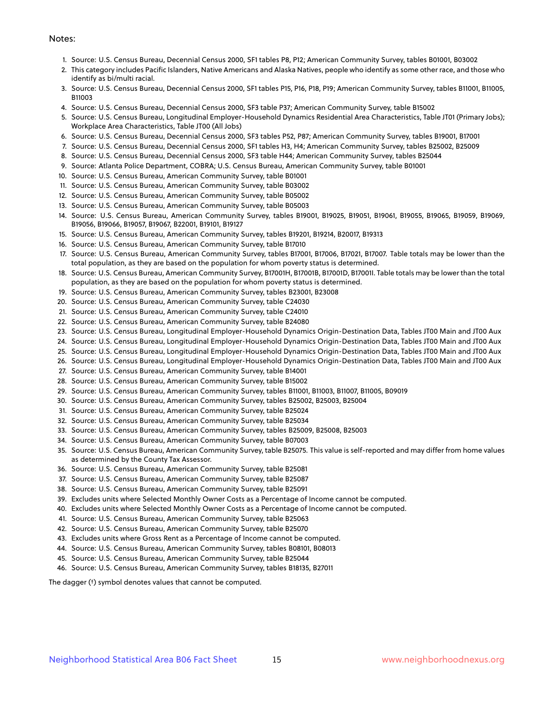#### Notes:

- 1. Source: U.S. Census Bureau, Decennial Census 2000, SF1 tables P8, P12; American Community Survey, tables B01001, B03002
- 2. This category includes Pacific Islanders, Native Americans and Alaska Natives, people who identify as some other race, and those who identify as bi/multi racial.
- 3. Source: U.S. Census Bureau, Decennial Census 2000, SF1 tables P15, P16, P18, P19; American Community Survey, tables B11001, B11005, B11003
- 4. Source: U.S. Census Bureau, Decennial Census 2000, SF3 table P37; American Community Survey, table B15002
- 5. Source: U.S. Census Bureau, Longitudinal Employer-Household Dynamics Residential Area Characteristics, Table JT01 (Primary Jobs); Workplace Area Characteristics, Table JT00 (All Jobs)
- 6. Source: U.S. Census Bureau, Decennial Census 2000, SF3 tables P52, P87; American Community Survey, tables B19001, B17001
- 7. Source: U.S. Census Bureau, Decennial Census 2000, SF1 tables H3, H4; American Community Survey, tables B25002, B25009
- 8. Source: U.S. Census Bureau, Decennial Census 2000, SF3 table H44; American Community Survey, tables B25044
- 9. Source: Atlanta Police Department, COBRA; U.S. Census Bureau, American Community Survey, table B01001
- 10. Source: U.S. Census Bureau, American Community Survey, table B01001
- 11. Source: U.S. Census Bureau, American Community Survey, table B03002
- 12. Source: U.S. Census Bureau, American Community Survey, table B05002
- 13. Source: U.S. Census Bureau, American Community Survey, table B05003
- 14. Source: U.S. Census Bureau, American Community Survey, tables B19001, B19025, B19051, B19061, B19055, B19065, B19059, B19069, B19056, B19066, B19057, B19067, B22001, B19101, B19127
- 15. Source: U.S. Census Bureau, American Community Survey, tables B19201, B19214, B20017, B19313
- 16. Source: U.S. Census Bureau, American Community Survey, table B17010
- 17. Source: U.S. Census Bureau, American Community Survey, tables B17001, B17006, B17021, B17007. Table totals may be lower than the total population, as they are based on the population for whom poverty status is determined.
- 18. Source: U.S. Census Bureau, American Community Survey, B17001H, B17001B, B17001D, B17001I. Table totals may be lower than the total population, as they are based on the population for whom poverty status is determined.
- 19. Source: U.S. Census Bureau, American Community Survey, tables B23001, B23008
- 20. Source: U.S. Census Bureau, American Community Survey, table C24030
- 21. Source: U.S. Census Bureau, American Community Survey, table C24010
- 22. Source: U.S. Census Bureau, American Community Survey, table B24080
- 23. Source: U.S. Census Bureau, Longitudinal Employer-Household Dynamics Origin-Destination Data, Tables JT00 Main and JT00 Aux
- 24. Source: U.S. Census Bureau, Longitudinal Employer-Household Dynamics Origin-Destination Data, Tables JT00 Main and JT00 Aux
- 25. Source: U.S. Census Bureau, Longitudinal Employer-Household Dynamics Origin-Destination Data, Tables JT00 Main and JT00 Aux
- 26. Source: U.S. Census Bureau, Longitudinal Employer-Household Dynamics Origin-Destination Data, Tables JT00 Main and JT00 Aux
- 27. Source: U.S. Census Bureau, American Community Survey, table B14001
- 28. Source: U.S. Census Bureau, American Community Survey, table B15002
- 29. Source: U.S. Census Bureau, American Community Survey, tables B11001, B11003, B11007, B11005, B09019
- 30. Source: U.S. Census Bureau, American Community Survey, tables B25002, B25003, B25004
- 31. Source: U.S. Census Bureau, American Community Survey, table B25024
- 32. Source: U.S. Census Bureau, American Community Survey, table B25034
- 33. Source: U.S. Census Bureau, American Community Survey, tables B25009, B25008, B25003
- 34. Source: U.S. Census Bureau, American Community Survey, table B07003
- 35. Source: U.S. Census Bureau, American Community Survey, table B25075. This value is self-reported and may differ from home values as determined by the County Tax Assessor.
- 36. Source: U.S. Census Bureau, American Community Survey, table B25081
- 37. Source: U.S. Census Bureau, American Community Survey, table B25087
- 38. Source: U.S. Census Bureau, American Community Survey, table B25091
- 39. Excludes units where Selected Monthly Owner Costs as a Percentage of Income cannot be computed.
- 40. Excludes units where Selected Monthly Owner Costs as a Percentage of Income cannot be computed.
- 41. Source: U.S. Census Bureau, American Community Survey, table B25063
- 42. Source: U.S. Census Bureau, American Community Survey, table B25070
- 43. Excludes units where Gross Rent as a Percentage of Income cannot be computed.
- 44. Source: U.S. Census Bureau, American Community Survey, tables B08101, B08013
- 45. Source: U.S. Census Bureau, American Community Survey, table B25044
- 46. Source: U.S. Census Bureau, American Community Survey, tables B18135, B27011

The dagger (†) symbol denotes values that cannot be computed.